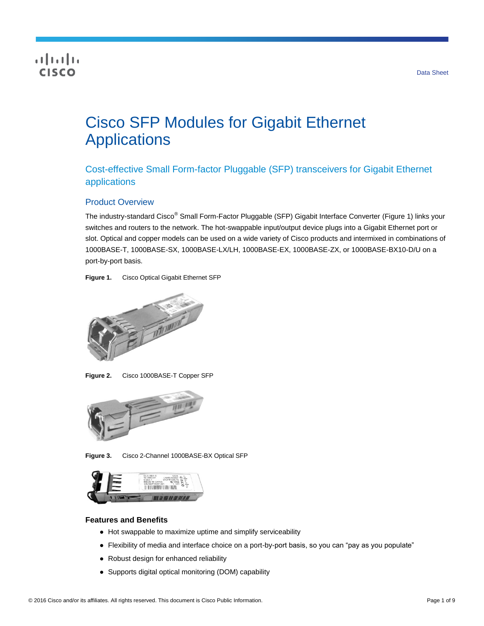## **CISCO**

# Cisco SFP Modules for Gigabit Ethernet **Applications**

Cost-effective Small Form-factor Pluggable (SFP) transceivers for Gigabit Ethernet applications

## Product Overview

The industry-standard Cisco<sup>®</sup> Small Form-Factor Pluggable (SFP) Gigabit Interface Converter (Figure 1) links your switches and routers to the network. The hot-swappable input/output device plugs into a Gigabit Ethernet port or slot. Optical and copper models can be used on a wide variety of Cisco products and intermixed in combinations of 1000BASE-T, 1000BASE-SX, 1000BASE-LX/LH, 1000BASE-EX, 1000BASE-ZX, or 1000BASE-BX10-D/U on a port-by-port basis.

**Figure 1.** Cisco Optical Gigabit Ethernet SFP



**Figure 2.** Cisco 1000BASE-T Copper SFP



**Figure 3.** Cisco 2-Channel 1000BASE-BX Optical SFP



#### **Features and Benefits**

- Hot swappable to maximize uptime and simplify serviceability
- Flexibility of media and interface choice on a port-by-port basis, so you can "pay as you populate"
- Robust design for enhanced reliability
- Supports digital optical monitoring (DOM) capability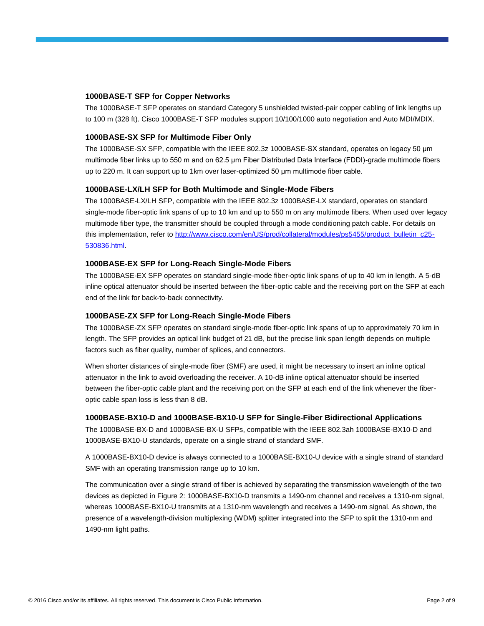#### **1000BASE-T SFP for Copper Networks**

The 1000BASE-T SFP operates on standard Category 5 unshielded twisted-pair copper cabling of link lengths up to 100 m (328 ft). Cisco 1000BASE-T SFP modules support 10/100/1000 auto negotiation and Auto MDI/MDIX.

#### **1000BASE-SX SFP for Multimode Fiber Only**

The 1000BASE-SX SFP, compatible with the IEEE 802.3z 1000BASE-SX standard, operates on legacy 50 μm multimode fiber links up to 550 m and on 62.5 μm Fiber Distributed Data Interface (FDDI)-grade multimode fibers up to 220 m. It can support up to 1km over laser-optimized 50 μm multimode fiber cable.

#### **1000BASE-LX/LH SFP for Both Multimode and Single-Mode Fibers**

The 1000BASE-LX/LH SFP, compatible with the IEEE 802.3z 1000BASE-LX standard, operates on standard single-mode fiber-optic link spans of up to 10 km and up to 550 m on any multimode fibers. When used over legacy multimode fiber type, the transmitter should be coupled through a mode conditioning patch cable. For details on this implementation, refer to [http://www.cisco.com/en/US/prod/collateral/modules/ps5455/product\\_bulletin\\_c25-](http://www.cisco.com/en/US/prod/collateral/modules/ps5455/product_bulletin_c25-530836.html) [530836.html.](http://www.cisco.com/en/US/prod/collateral/modules/ps5455/product_bulletin_c25-530836.html)

#### **1000BASE-EX SFP for Long-Reach Single-Mode Fibers**

The 1000BASE-EX SFP operates on standard single-mode fiber-optic link spans of up to 40 km in length. A 5-dB inline optical attenuator should be inserted between the fiber-optic cable and the receiving port on the SFP at each end of the link for back-to-back connectivity.

#### **1000BASE-ZX SFP for Long-Reach Single-Mode Fibers**

The 1000BASE-ZX SFP operates on standard single-mode fiber-optic link spans of up to approximately 70 km in length. The SFP provides an optical link budget of 21 dB, but the precise link span length depends on multiple factors such as fiber quality, number of splices, and connectors.

When shorter distances of single-mode fiber (SMF) are used, it might be necessary to insert an inline optical attenuator in the link to avoid overloading the receiver. A 10-dB inline optical attenuator should be inserted between the fiber-optic cable plant and the receiving port on the SFP at each end of the link whenever the fiberoptic cable span loss is less than 8 dB.

#### **1000BASE-BX10-D and 1000BASE-BX10-U SFP for Single-Fiber Bidirectional Applications**

The 1000BASE-BX-D and 1000BASE-BX-U SFPs, compatible with the IEEE 802.3ah 1000BASE-BX10-D and 1000BASE-BX10-U standards, operate on a single strand of standard SMF.

A 1000BASE-BX10-D device is always connected to a 1000BASE-BX10-U device with a single strand of standard SMF with an operating transmission range up to 10 km.

The communication over a single strand of fiber is achieved by separating the transmission wavelength of the two devices as depicted in Figure 2: 1000BASE-BX10-D transmits a 1490-nm channel and receives a 1310-nm signal, whereas 1000BASE-BX10-U transmits at a 1310-nm wavelength and receives a 1490-nm signal. As shown, the presence of a wavelength-division multiplexing (WDM) splitter integrated into the SFP to split the 1310-nm and 1490-nm light paths.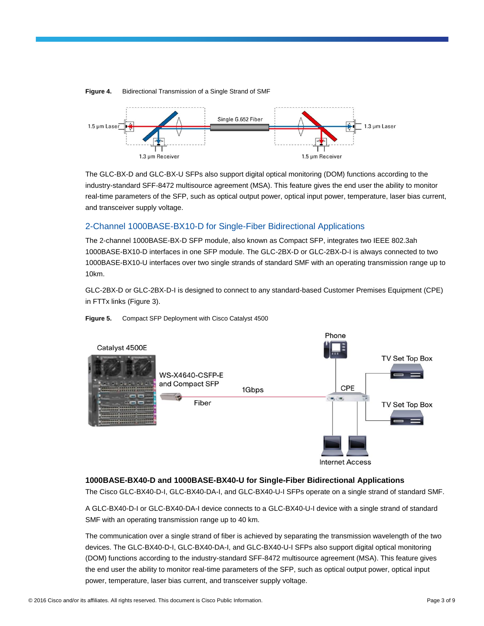

**Figure 4.** Bidirectional Transmission of a Single Strand of SMF

The GLC-BX-D and GLC-BX-U SFPs also support digital optical monitoring (DOM) functions according to the industry-standard SFF-8472 multisource agreement (MSA). This feature gives the end user the ability to monitor real-time parameters of the SFP, such as optical output power, optical input power, temperature, laser bias current, and transceiver supply voltage.

## 2-Channel 1000BASE-BX10-D for Single-Fiber Bidirectional Applications

The 2-channel 1000BASE-BX-D SFP module, also known as Compact SFP, integrates two IEEE 802.3ah 1000BASE-BX10-D interfaces in one SFP module. The GLC-2BX-D or GLC-2BX-D-I is always connected to two 1000BASE-BX10-U interfaces over two single strands of standard SMF with an operating transmission range up to 10km.

GLC-2BX-D or GLC-2BX-D-I is designed to connect to any standard-based Customer Premises Equipment (CPE) in FTTx links (Figure 3).



#### **Figure 5.** Compact SFP Deployment with Cisco Catalyst 4500

**Internet Access** 

## **1000BASE-BX40-D and 1000BASE-BX40-U for Single-Fiber Bidirectional Applications**

The Cisco GLC-BX40-D-I, GLC-BX40-DA-I, and GLC-BX40-U-I SFPs operate on a single strand of standard SMF.

A GLC-BX40-D-I or GLC-BX40-DA-I device connects to a GLC-BX40-U-I device with a single strand of standard SMF with an operating transmission range up to 40 km.

The communication over a single strand of fiber is achieved by separating the transmission wavelength of the two devices. The GLC-BX40-D-I, GLC-BX40-DA-I, and GLC-BX40-U-I SFPs also support digital optical monitoring (DOM) functions according to the industry-standard SFF-8472 multisource agreement (MSA). This feature gives the end user the ability to monitor real-time parameters of the SFP, such as optical output power, optical input power, temperature, laser bias current, and transceiver supply voltage.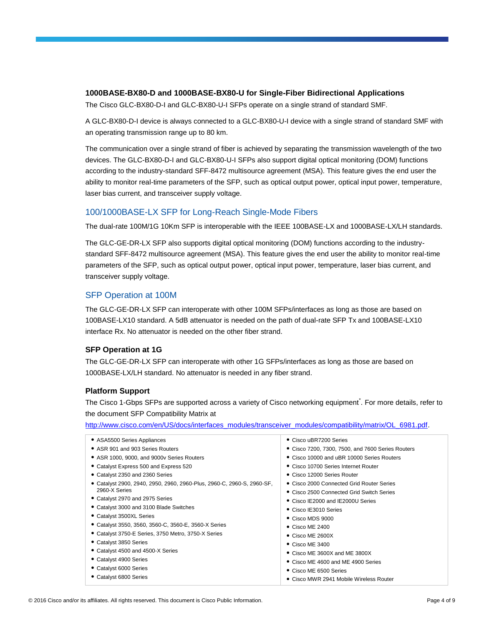#### **1000BASE-BX80-D and 1000BASE-BX80-U for Single-Fiber Bidirectional Applications**

The Cisco GLC-BX80-D-I and GLC-BX80-U-I SFPs operate on a single strand of standard SMF.

A GLC-BX80-D-I device is always connected to a GLC-BX80-U-I device with a single strand of standard SMF with an operating transmission range up to 80 km.

The communication over a single strand of fiber is achieved by separating the transmission wavelength of the two devices. The GLC-BX80-D-I and GLC-BX80-U-I SFPs also support digital optical monitoring (DOM) functions according to the industry-standard SFF-8472 multisource agreement (MSA). This feature gives the end user the ability to monitor real-time parameters of the SFP, such as optical output power, optical input power, temperature, laser bias current, and transceiver supply voltage.

## 100/1000BASE-LX SFP for Long-Reach Single-Mode Fibers

The dual-rate 100M/1G 10Km SFP is interoperable with the IEEE 100BASE-LX and 1000BASE-LX/LH standards.

The GLC-GE-DR-LX SFP also supports digital optical monitoring (DOM) functions according to the industrystandard SFF-8472 multisource agreement (MSA). This feature gives the end user the ability to monitor real-time parameters of the SFP, such as optical output power, optical input power, temperature, laser bias current, and transceiver supply voltage.

## SFP Operation at 100M

The GLC-GE-DR-LX SFP can interoperate with other 100M SFPs/interfaces as long as those are based on 100BASE-LX10 standard. A 5dB attenuator is needed on the path of dual-rate SFP Tx and 100BASE-LX10 interface Rx. No attenuator is needed on the other fiber strand.

#### **SFP Operation at 1G**

The GLC-GE-DR-LX SFP can interoperate with other 1G SFPs/interfaces as long as those are based on 1000BASE-LX/LH standard. No attenuator is needed in any fiber strand.

#### **Platform Support**

The Cisco 1-Gbps SFPs are supported across a variety of Cisco networking equipment<sup>\*</sup>. For more details, refer to the document SFP Compatibility Matrix at

[http://www.cisco.com/en/US/docs/interfaces\\_modules/transceiver\\_modules/compatibility/matrix/OL\\_6981.pdf.](http://www.cisco.com/en/US/docs/interfaces_modules/transceiver_modules/compatibility/matrix/OL_6981.pdf)

| • ASA5500 Series Appliances                                          | • Cisco uBR7200 Series                            |
|----------------------------------------------------------------------|---------------------------------------------------|
| • ASR 901 and 903 Series Routers                                     | • Cisco 7200, 7300, 7500, and 7600 Series Routers |
| • ASR 1000, 9000, and 9000v Series Routers                           | • Cisco 10000 and uBR 10000 Series Routers        |
| • Catalyst Express 500 and Express 520                               | • Cisco 10700 Series Internet Router              |
| • Catalyst 2350 and 2360 Series                                      | • Cisco 12000 Series Router                       |
| Catalyst 2900, 2940, 2950, 2960, 2960-Plus, 2960-C, 2960-S, 2960-SF, | • Cisco 2000 Connected Grid Router Series         |
| 2960-X Series                                                        | • Cisco 2500 Connected Grid Switch Series         |
| • Catalyst 2970 and 2975 Series                                      | • Cisco IE2000 and IE2000U Series                 |
| • Catalyst 3000 and 3100 Blade Switches                              | • Cisco IE3010 Series                             |
| • Catalyst 3500XL Series                                             | $\bullet$ Cisco MDS 9000                          |
| • Catalyst 3550, 3560, 3560-C, 3560-E, 3560-X Series                 | $\bullet$ Cisco ME 2400                           |
| • Catalyst 3750-E Series, 3750 Metro, 3750-X Series                  | $\bullet$ Cisco ME 2600X                          |
| • Catalyst 3850 Series                                               | $\bullet$ Cisco ME 3400                           |
| • Catalyst 4500 and 4500-X Series                                    | $\bullet$ Cisco ME 3600X and ME 3800X             |
| • Catalyst 4900 Series                                               | • Cisco ME 4600 and ME 4900 Series                |
| • Catalyst 6000 Series                                               | • Cisco ME 6500 Series                            |
| • Catalyst 6800 Series                                               | ● Cisco MWR 2941 Mobile Wireless Router           |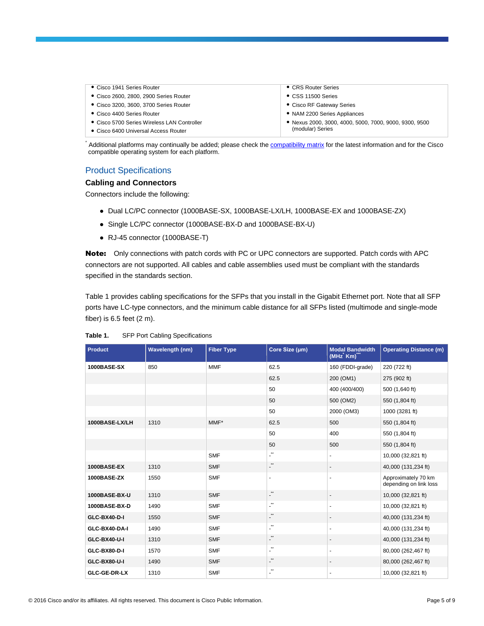- Cisco 1941 Series Router
- Cisco 2600, 2800, 2900 Series Router
- Cisco 3200, 3600, 3700 Series Router
- Cisco 4400 Series Router
- Cisco 5700 Series Wireless LAN Controller
- Cisco 6400 Universal Access Router
- CRS Router Series
- CSS 11500 Series
- Cisco RF Gateway Series
- NAM 2200 Series Appliances
- Nexus 2000, 3000, 4000, 5000, 7000, 9000, 9300, 9500 (modular) Series

Additional platforms may continually be added; please check th[e compatibility matrix](http://www.cisco.com/c/en/us/td/docs/interfaces_modules/transceiver_modules/compatibility/matrix/GE_Tx_Matrix.html) for the latest information and for the Cisco compatible operating system for each platform.

#### Product Specifications

#### **Cabling and Connectors**

Connectors include the following:

- Dual LC/PC connector (1000BASE-SX, 1000BASE-LX/LH, 1000BASE-EX and 1000BASE-ZX)
- Single LC/PC connector (1000BASE-BX-D and 1000BASE-BX-U)
- RJ-45 connector (1000BASE-T)

Note: Only connections with patch cords with PC or UPC connectors are supported. Patch cords with APC connectors are not supported. All cables and cable assemblies used must be compliant with the standards specified in the standards section.

Table 1 provides cabling specifications for the SFPs that you install in the Gigabit Ethernet port. Note that all SFP ports have LC-type connectors, and the minimum cable distance for all SFPs listed (multimode and single-mode fiber) is 6.5 feet (2 m).

| <b>Product</b>      | Wavelength (nm) | <b>Fiber Type</b> | Core Size (µm)                              | <b>Modal Bandwidth</b><br>(MHz Km)" | <b>Operating Distance (m)</b>                 |
|---------------------|-----------------|-------------------|---------------------------------------------|-------------------------------------|-----------------------------------------------|
| <b>1000BASE-SX</b>  | 850             | <b>MMF</b>        | 62.5                                        | 160 (FDDI-grade)                    | 220 (722 ft)                                  |
|                     |                 |                   | 62.5                                        | 200 (OM1)                           | 275 (902 ft)                                  |
|                     |                 |                   | 50                                          | 400 (400/400)                       | 500 (1,640 ft)                                |
|                     |                 |                   | 50                                          | 500 (OM2)                           | 550 (1,804 ft)                                |
|                     |                 |                   | 50                                          | 2000 (OM3)                          | 1000 (3281 ft)                                |
| 1000BASE-LX/LH      | 1310            | $MMF^*$           | 62.5                                        | 500                                 | 550 (1,804 ft)                                |
|                     |                 |                   | 50                                          | 400                                 | 550 (1,804 ft)                                |
|                     |                 |                   | 50                                          | 500                                 | 550 (1,804 ft)                                |
|                     |                 | <b>SMF</b>        | $\mathbb{Z}^*$                              | ÷,                                  | 10,000 (32,821 ft)                            |
| <b>1000BASE-EX</b>  | 1310            | <b>SMF</b>        | $\star\star$<br>$\overline{\phantom{0}}$    | $\overline{\phantom{a}}$            | 40,000 (131,234 ft)                           |
| <b>1000BASE-ZX</b>  | 1550            | <b>SMF</b>        | $\blacksquare$                              | $\blacksquare$                      | Approximately 70 km<br>depending on link loss |
| 1000BASE-BX-U       | 1310            | <b>SMF</b>        | $\star\star$<br>$\overline{\phantom{0}}$    | $\blacksquare$                      | 10,000 (32,821 ft)                            |
| 1000BASE-BX-D       | 1490            | <b>SMF</b>        | $\mathbf{L}^{\star\star}$                   | $\blacksquare$                      | 10,000 (32,821 ft)                            |
| GLC-BX40-D-I        | 1550            | <b>SMF</b>        | $\star\star$<br>٠                           | $\overline{\phantom{a}}$            | 40,000 (131,234 ft)                           |
| GLC-BX40-DA-I       | 1490            | <b>SMF</b>        | $\star\star$<br>÷.                          | $\sim$                              | 40,000 (131,234 ft)                           |
| GLC-BX40-U-I        | 1310            | <b>SMF</b>        | $^{\star\star}$<br>$\overline{\phantom{0}}$ | $\overline{\phantom{a}}$            | 40,000 (131,234 ft)                           |
| GLC-BX80-D-I        | 1570            | <b>SMF</b>        | $\cdot$                                     | $\blacksquare$                      | 80,000 (262,467 ft)                           |
| GLC-BX80-U-I        | 1490            | <b>SMF</b>        | $\star\star$<br>$\overline{\phantom{0}}$    | $\overline{\phantom{a}}$            | 80,000 (262,467 ft)                           |
| <b>GLC-GE-DR-LX</b> | 1310            | <b>SMF</b>        | $\star\star$<br>٠                           | $\blacksquare$                      | 10,000 (32,821 ft)                            |

#### **Table 1.** SFP Port Cabling Specifications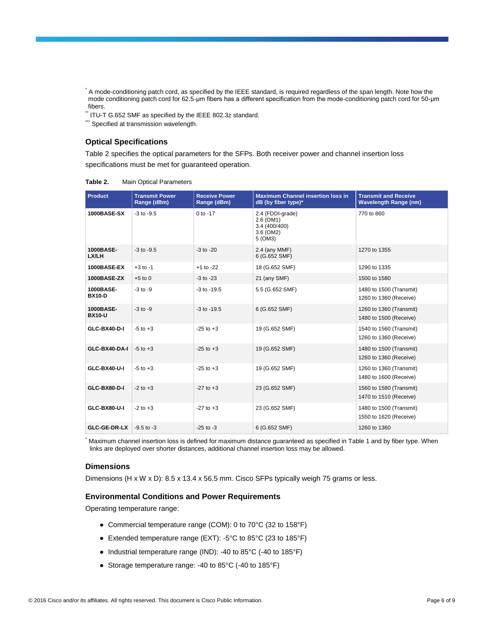\* A mode-conditioning patch cord, as specified by the IEEE standard, is required regardless of the span length. Note how the mode conditioning patch cord for 62.5-μm fibers has a different specification from the mode-conditioning patch cord for 50-μm fibers.

\*\* ITU-T G.652 SMF as specified by the IEEE 802.3z standard.

\*\*\*\* Specified at transmission wavelength.

#### **Optical Specifications**

Table 2 specifies the optical parameters for the SFPs. Both receiver power and channel insertion loss specifications must be met for guaranteed operation.

**Table 2.** Main Optical Parameters

| <b>Product</b>             | <b>Transmit Power</b><br>Range (dBm) | <b>Receive Power</b><br>Range (dBm) | <b>Maximum Channel insertion loss in</b><br>dB (by fiber type)*        | <b>Transmit and Receive</b><br><b>Wavelength Range (nm)</b> |
|----------------------------|--------------------------------------|-------------------------------------|------------------------------------------------------------------------|-------------------------------------------------------------|
| <b>1000BASE-SX</b>         | $-3$ to $-9.5$                       | $0$ to $-17$                        | 2.4 (FDDI-grade)<br>2.6 (OM1)<br>3.4 (400/400)<br>3.6 (OM2)<br>5 (OM3) | 770 to 860                                                  |
| 1000BASE-<br>LX/LH         | $-3$ to $-9.5$                       | $-3$ to $-20$                       | $2.4$ (any MMF)<br>6 (G.652 SMF)                                       | 1270 to 1355                                                |
| <b>1000BASE-EX</b>         | $+3$ to $-1$                         | $+1$ to $-22$                       | 18 (G.652 SMF)                                                         | 1290 to 1335                                                |
| <b>1000BASE-ZX</b>         | $+5$ to 0                            | $-3$ to $-23$                       | 21 (any SMF)                                                           | 1500 to 1580                                                |
| 1000BASE-<br><b>BX10-D</b> | $-3$ to $-9$                         | $-3$ to $-19.5$                     | 5.5 (G.652 SMF)                                                        | 1480 to 1500 (Transmit)<br>1260 to 1360 (Receive)           |
| 1000BASE-<br><b>BX10-U</b> | $-3$ to $-9$                         | $-3$ to $-19.5$                     | 6 (G.652 SMF)                                                          | 1260 to 1360 (Transmit)<br>1480 to 1500 (Receive)           |
| GLC-BX40-D-I               | $-5$ to $+3$                         | $-25$ to $+3$                       | 19 (G.652 SMF)                                                         | 1540 to 1560 (Transmit)<br>1260 to 1360 (Receive)           |
| GLC-BX40-DA-I              | $-5$ to $+3$                         | $-25$ to $+3$                       | 19 (G.652 SMF)                                                         | 1480 to 1500 (Transmit)<br>1260 to 1360 (Receive)           |
| GLC-BX40-U-I               | $-5$ to $+3$                         | $-25$ to $+3$                       | 19 (G.652 SMF)                                                         | 1260 to 1360 (Transmit)<br>1480 to 1600 (Receive)           |
| GLC-BX80-D-I               | $-2$ to $+3$                         | $-27$ to $+3$                       | 23 (G.652 SMF)                                                         | 1560 to 1580 (Transmit)<br>1470 to 1510 (Receive)           |
| GLC-BX80-U-I               | $-2$ to $+3$                         | $-27$ to $+3$                       | 23 (G.652 SMF)                                                         | 1480 to 1500 (Transmit)<br>1550 to 1620 (Receive)           |
| GLC-GE-DR-LX               | $-9.5$ to $-3$                       | $-25$ to $-3$                       | 6 (G.652 SMF)                                                          | 1260 to 1360                                                |

Maximum channel insertion loss is defined for maximum distance guaranteed as specified in Table 1 and by fiber type. When links are deployed over shorter distances, additional channel insertion loss may be allowed.

#### **Dimensions**

Dimensions (H x W x D): 8.5 x 13.4 x 56.5 mm. Cisco SFPs typically weigh 75 grams or less.

#### **Environmental Conditions and Power Requirements**

Operating temperature range:

- Commercial temperature range (COM): 0 to 70°C (32 to 158°F)
- Extended temperature range (EXT): -5°C to 85°C (23 to 185°F)
- Industrial temperature range (IND): -40 to 85°C (-40 to 185°F)
- Storage temperature range: -40 to 85°C (-40 to 185°F)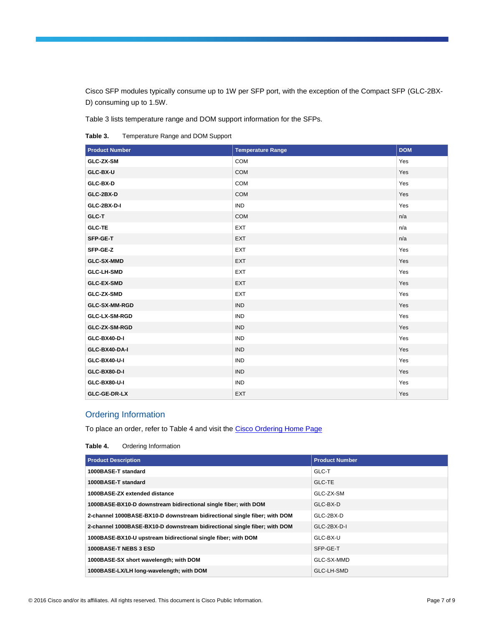Cisco SFP modules typically consume up to 1W per SFP port, with the exception of the Compact SFP (GLC-2BX-D) consuming up to 1.5W.

Table 3 lists temperature range and DOM support information for the SFPs.

**Table 3.** Temperature Range and DOM Support

| <b>Product Number</b> | <b>Temperature Range</b> | <b>DOM</b> |
|-----------------------|--------------------------|------------|
| GLC-ZX-SM             | COM                      | Yes        |
| GLC-BX-U              | <b>COM</b>               | Yes        |
| GLC-BX-D              | COM                      | Yes        |
| GLC-2BX-D             | <b>COM</b>               | Yes        |
| GLC-2BX-D-I           | <b>IND</b>               | Yes        |
| GLC-T                 | <b>COM</b>               | n/a        |
| <b>GLC-TE</b>         | <b>EXT</b>               | n/a        |
| SFP-GE-T              | <b>EXT</b>               | n/a        |
| SFP-GE-Z              | <b>EXT</b>               | Yes        |
| <b>GLC-SX-MMD</b>     | <b>EXT</b>               | Yes        |
| <b>GLC-LH-SMD</b>     | <b>EXT</b>               | Yes        |
| <b>GLC-EX-SMD</b>     | <b>EXT</b>               | Yes        |
| GLC-ZX-SMD            | <b>EXT</b>               | Yes        |
| GLC-SX-MM-RGD         | <b>IND</b>               | Yes        |
| GLC-LX-SM-RGD         | <b>IND</b>               | Yes        |
| GLC-ZX-SM-RGD         | <b>IND</b>               | Yes        |
| GLC-BX40-D-I          | <b>IND</b>               | Yes        |
| GLC-BX40-DA-I         | <b>IND</b>               | Yes        |
| GLC-BX40-U-I          | <b>IND</b>               | Yes        |
| GLC-BX80-D-I          | <b>IND</b>               | Yes        |
| GLC-BX80-U-I          | <b>IND</b>               | Yes        |
| GLC-GE-DR-LX          | EXT                      | Yes        |

## Ordering Information

To place an order, refer to Table 4 and visit the [Cisco Ordering Home Page](https://www.cisco.com/web/ordering/root/index.html)

**Table 4.** Ordering Information

| <b>Product Description</b>                                                | <b>Product Number</b> |
|---------------------------------------------------------------------------|-----------------------|
| 1000BASE-T standard                                                       | GLC-T                 |
| 1000BASE-T standard                                                       | <b>GLC-TE</b>         |
| 1000BASE-ZX extended distance                                             | GLC-ZX-SM             |
| 1000BASE-BX10-D downstream bidirectional single fiber; with DOM           | GLC-BX-D              |
| 2-channel 1000BASE-BX10-D downstream bidirectional single fiber; with DOM | GLC-2BX-D             |
| 2-channel 1000BASE-BX10-D downstream bidirectional single fiber; with DOM | GLC-2BX-D-I           |
| 1000BASE-BX10-U upstream bidirectional single fiber; with DOM             | GLC-BX-U              |
| 1000BASE-T NEBS 3 ESD                                                     | SFP-GE-T              |
| 1000BASE-SX short wavelength; with DOM                                    | GLC-SX-MMD            |
| 1000BASE-LX/LH long-wavelength; with DOM                                  | GLC-LH-SMD            |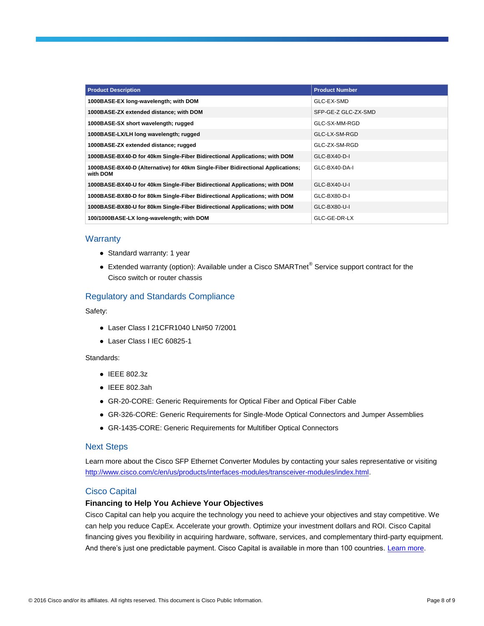| <b>Product Description</b>                                                                  | <b>Product Number</b> |
|---------------------------------------------------------------------------------------------|-----------------------|
| 1000BASE-EX long-wavelength; with DOM                                                       | GLC-EX-SMD            |
| 1000BASE-ZX extended distance; with DOM                                                     | SFP-GE-Z GLC-ZX-SMD   |
| 1000BASE-SX short wavelength; rugged                                                        | GLC-SX-MM-RGD         |
| 1000BASE-LX/LH long wavelength; rugged                                                      | GLC-LX-SM-RGD         |
| 1000BASE-ZX extended distance; rugged                                                       | GLC-ZX-SM-RGD         |
| 1000BASE-BX40-D for 40km Single-Fiber Bidirectional Applications; with DOM                  | GLC-BX40-D-I          |
| 1000BASE-BX40-D (Alternative) for 40km Single-Fiber Bidirectional Applications;<br>with DOM | GLC-BX40-DA-I         |
| 1000BASE-BX40-U for 40km Single-Fiber Bidirectional Applications; with DOM                  | GLC-BX40-U-I          |
| 1000BASE-BX80-D for 80km Single-Fiber Bidirectional Applications; with DOM                  | GLC-BX80-D-I          |
| 1000BASE-BX80-U for 80km Single-Fiber Bidirectional Applications; with DOM                  | GLC-BX80-U-I          |
| 100/1000BASE-LX long-wavelength; with DOM                                                   | GLC-GE-DR-LX          |

#### **Warranty**

- Standard warranty: 1 year
- Extended warranty (option): Available under a Cisco SMARTnet<sup>®</sup> Service support contract for the Cisco switch or router chassis

## Regulatory and Standards Compliance

Safety:

- Laser Class I 21CFR1040 LN#50 7/2001
- Laser Class I IEC 60825-1

#### Standards:

- IEEE 802.3z
- IEEE 802.3ah
- GR-20-CORE: Generic Requirements for Optical Fiber and Optical Fiber Cable
- GR-326-CORE: Generic Requirements for Single-Mode Optical Connectors and Jumper Assemblies
- GR-1435-CORE: Generic Requirements for Multifiber Optical Connectors

#### Next Steps

Learn more about the Cisco SFP Ethernet Converter Modules by contacting your sales representative or visiting [http://www.cisco.com/c/en/us/products/interfaces-modules/transceiver-modules/index.html.](http://www.cisco.com/c/en/us/products/interfaces-modules/transceiver-modules/index.html)

## Cisco Capital

#### **Financing to Help You Achieve Your Objectives**

Cisco Capital can help you acquire the technology you need to achieve your objectives and stay competitive. We can help you reduce CapEx. Accelerate your growth. Optimize your investment dollars and ROI. Cisco Capital financing gives you flexibility in acquiring hardware, software, services, and complementary third-party equipment. And there's just one predictable payment. Cisco Capital is available in more than 100 countries. [Learn more.](http://www.cisco.com/web/ciscocapital/americas/us/index.html)